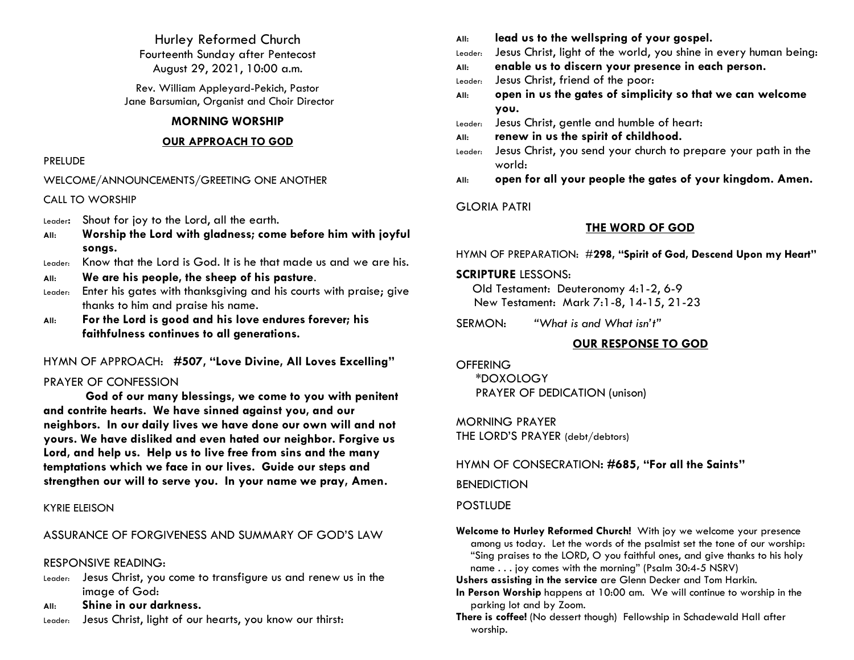Hurley Reformed Church Fourteenth Sunday after Pentecost August 29, 2021, 10:00 a.m.

Rev. William Appleyard-Pekich, Pastor Jane Barsumian, Organist and Choir Director

#### **MORNING WORSHIP**

#### **OUR APPROACH TO GOD**

#### PRELUDE

#### WELCOME/ANNOUNCEMENTS/GREETING ONE ANOTHER

#### CALL TO WORSHIP

- Leader: Shout for joy to the Lord, all the earth.
- **All: Worship the Lord with gladness; come before him with joyful songs.**
- Leader: Know that the Lord is God. It is he that made us and we are his.
- **All: We are his people, the sheep of his pasture**.
- Leader: Enter his gates with thanksgiving and his courts with praise; give thanks to him and praise his name.
- **All: For the Lord is good and his love endures forever; his faithfulness continues to all generations.**

## HYMN OF APPROACH: **#507, "Love Divine, All Loves Excelling"**

## PRAYER OF CONFESSION

**God of our many blessings, we come to you with penitent and contrite hearts. We have sinned against you, and our neighbors. In our daily lives we have done our own will and not yours. We have disliked and even hated our neighbor. Forgive us Lord, and help us. Help us to live free from sins and the many temptations which we face in our lives. Guide our steps and strengthen our will to serve you. In your name we pray, Amen.**

## KYRIE ELEISON

## ASSURANCE OF FORGIVENESS AND SUMMARY OF GOD'S LAW

## RESPONSIVE READING:

- Leader: Jesus Christ, you come to transfigure us and renew us in the image of God:
- **All: Shine in our darkness.**
- Leader: Jesus Christ, light of our hearts, you know our thirst:
- **All: lead us to the wellspring of your gospel.**
- Leader: Jesus Christ, light of the world, you shine in every human being:
- **All: enable us to discern your presence in each person.**
- Leader: Jesus Christ, friend of the poor:
- **All: open in us the gates of simplicity so that we can welcome you.**
- Leader: Jesus Christ, gentle and humble of heart:
- **All: renew in us the spirit of childhood.**
- Leader: Jesus Christ, you send your church to prepare your path in the world:
- **All: open for all your people the gates of your kingdom. Amen.**

## GLORIA PATRI

## **THE WORD OF GOD**

#### HYMN OF PREPARATION: #**298, "Spirit of God, Descend Upon my Heart"**

#### **SCRIPTURE** LESSONS:

 Old Testament: Deuteronomy 4:1-2, 6-9 New Testament: Mark 7:1-8, 14-15, 21-23

SERMON: *"What is and What isn't"*

## **OUR RESPONSE TO GOD**

#### **OFFERING**

\*DOXOLOGY PRAYER OF DEDICATION (unison)

MORNING PRAYER THE LORD'S PRAYER (debt/debtors)

HYMN OF CONSECRATION**: #685, "For all the Saints"**

**BENEDICTION** 

## **POSTILIDE**

- **Welcome to Hurley Reformed Church!** With joy we welcome your presence among us today. Let the words of the psalmist set the tone of our worship: "Sing praises to the LORD, O you faithful ones, and give thanks to his holy name . . . joy comes with the morning" (Psalm 30:4-5 NSRV)
- **Ushers assisting in the service** are Glenn Decker and Tom Harkin.
- **In Person Worship** happens at 10:00 am. We will continue to worship in the parking lot and by Zoom.
- **There is coffee!** (No dessert though) Fellowship in Schadewald Hall after worship.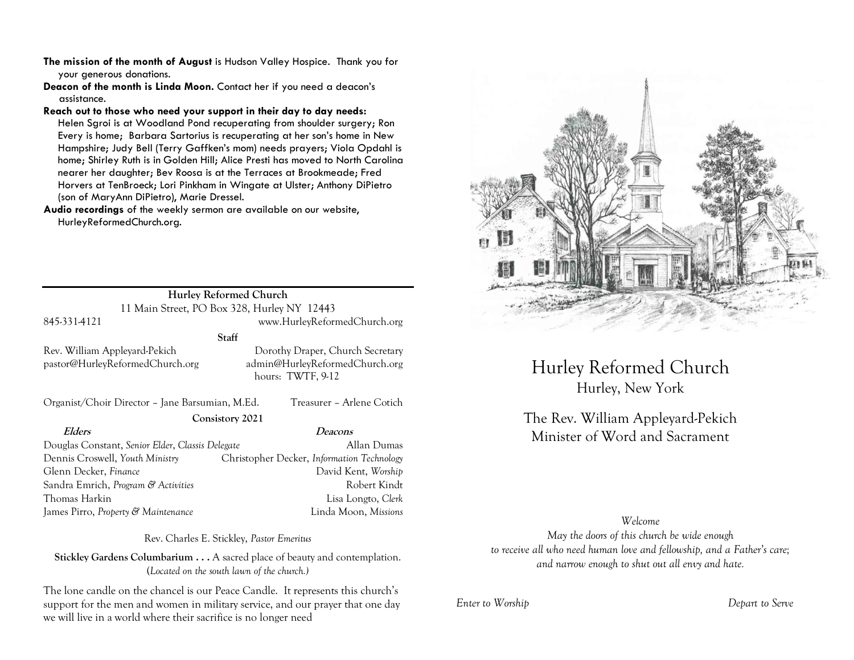- **The mission of the month of August** is Hudson Valley Hospice. Thank you for your generous donations.
- **Deacon of the month is Linda Moon.** Contact her if you need a deacon's assistance.

**Reach out to those who need your support in their day to day needs:** 

Helen Sgroi is at Woodland Pond recuperating from shoulder surgery; Ron Every is home; Barbara Sartorius is recuperating at her son's home in New Hampshire; Judy Bell (Terry Gaffken's mom) needs prayers; Viola Opdahl is home; Shirley Ruth is in Golden Hill; Alice Presti has moved to North Carolina nearer her daughter; Bev Roosa is at the Terraces at Brookmeade; Fred Horvers at TenBroeck; Lori Pinkham in Wingate at Ulster; Anthony DiPietro (son of MaryAnn DiPietro), Marie Dressel.

**Audio recordings** of the weekly sermon are available on our website, HurleyReformedChurch.org.

|                                                                  | Hurley Reformed Church                                                                  |
|------------------------------------------------------------------|-----------------------------------------------------------------------------------------|
|                                                                  | 11 Main Street, PO Box 328, Hurley NY 12443                                             |
| 845-331-4121                                                     | www.HurleyReformedChurch.org                                                            |
|                                                                  | Staff                                                                                   |
| Rev. William Appleyard-Pekich<br>pastor@HurleyReformedChurch.org | Dorothy Draper, Church Secretary<br>admin@HurleyReformedChurch.org<br>hours: TWTF, 9-12 |
| Organist/Choir Director – Jane Barsumian, M.Ed.                  | Treasurer - Arlene Cotich                                                               |
|                                                                  | Consistory 2021                                                                         |
| Elders                                                           | <i>Deacons</i>                                                                          |
| Douglas Constant, Senior Elder, Classis Delegate                 | Allan Dumas                                                                             |

Douglas Constant, *Senior Elder*, *Classis Delegate* Allan Dumas Dennis Croswell, *Youth Ministry* Christopher Decker, *Information Technology* Glenn Decker, *Finance* David Kent, *Worship* Sandra Emrich, *Program & Activities* And The Robert Kindt Thomas Harkin Lisa Longto, *Clerk* James Pirro, *Property & Maintenance* Linda Moon, *Missions*

Rev. Charles E. Stickley, *Pastor Emeritus*

**Stickley Gardens Columbarium . . .** A sacred place of beauty and contemplation. (*Located on the south lawn of the church.)* 

The lone candle on the chancel is our Peace Candle. It represents this church's support for the men and women in military service, and our prayer that one day we will live in a world where their sacrifice is no longer need



Hurley Reformed Church Hurley, New York

The Rev. William Appleyard-Pekich Minister of Word and Sacrament

*Welcome May the doors of this church be wide enough to receive all who need human love and fellowship, and a Father's care; and narrow enough to shut out all envy and hate.*

*Enter to Worship Depart to Serve*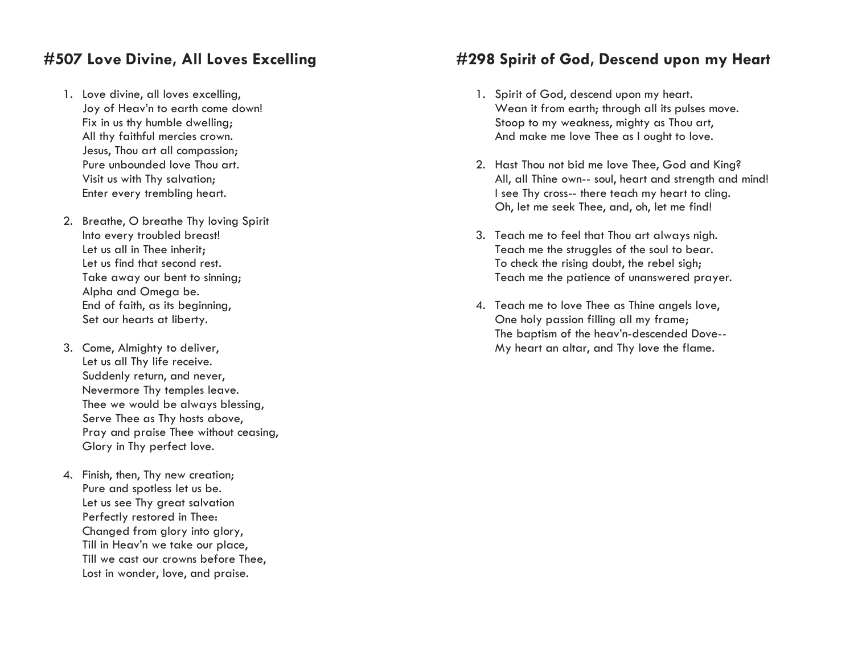# **#507 Love Divine, All Loves Excelling**

- 1. Love divine, all loves excelling, Joy of Heav'n to earth come down! Fix in us thy humble dwelling; All thy faithful mercies crown. Jesus, Thou art all compassion; Pure unbounded love Thou art. Visit us with Thy salvation; Enter every trembling heart.
- 2. Breathe, O breathe Thy loving Spirit Into every troubled breast! Let us all in Thee inherit; Let us find that second rest. Take away our bent to sinning; Alpha and Omega be. End of faith, as its beginning, Set our hearts at liberty.
- 3. Come, Almighty to deliver, Let us all Thy life receive. Suddenly return, and never, Nevermore Thy temples leave. Thee we would be always blessing, Serve Thee as Thy hosts above, Pray and praise Thee without ceasing, Glory in Thy perfect love.
- 4. Finish, then, Thy new creation; Pure and spotless let us be. Let us see Thy great salvation Perfectly restored in Thee: Changed from glory into glory, Till in Heav'n we take our place, Till we cast our crowns before Thee, Lost in wonder, love, and praise.

## **#298 Spirit of God, Descend upon my Heart**

- 1. Spirit of God, descend upon my heart. Wean it from earth; through all its pulses move. Stoop to my weakness, mighty as Thou art, And make me love Thee as I ought to love.
- 2. Hast Thou not bid me love Thee, God and King? All, all Thine own-- soul, heart and strength and mind! I see Thy cross-- there teach my heart to cling. Oh, let me seek Thee, and, oh, let me find!
- 3. Teach me to feel that Thou art always nigh. Teach me the struggles of the soul to bear. To check the rising doubt, the rebel sigh; Teach me the patience of unanswered prayer.
- 4. Teach me to love Thee as Thine angels love, One holy passion filling all my frame; The baptism of the heav'n-descended Dove-- My heart an altar, and Thy love the flame.